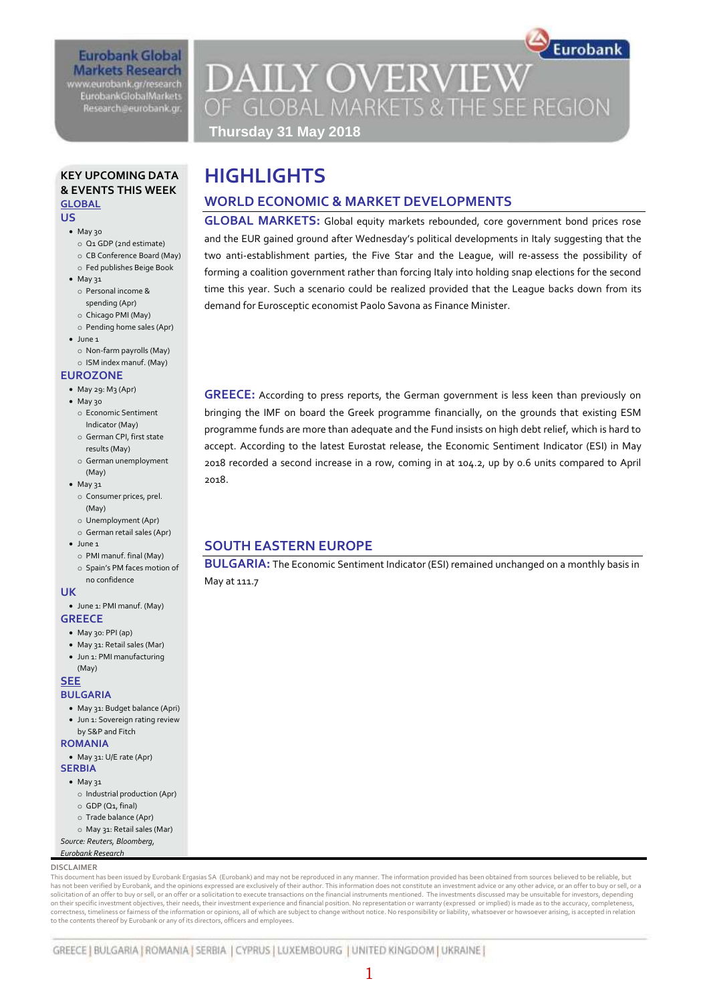### **Eurobank Global Markets Research**

www.eurobank.gr/research **EurobankGlobalMarkets** Research@eurobank.gr

### Eurobank **DAILY OVERVIEW** OF GLOBAL MARKETS & THE SEE REGION **Thursday 31 May 2018**

### **KEY UPCOMING DATA & EVENTS THIS WEEK GLOBAL**

#### **US**

- May 30
	- o Q1 GDP (2nd estimate)
	- o CB Conference Board (May)
- o Fed publishes Beige Book • May 31
- o Personal income & spending (Apr)
- o Chicago PMI (May)
- o Pending home sales (Apr)
- $\bullet$  lune 1
- o Non-farm payrolls (May)
- o ISM index manuf. (May) **EUROZONE**

### $-May 29: Mg (Apr)$

- May 30
	- o Economic Sentiment Indicator (May)
	- o German CPI, first state results (May)
	- o German unemployment (May)
- May 31
	- o Consumer prices, prel. (May)
	- o Unemployment (Apr) o German retail sales (Apr)
	-
- $\bullet$  lune 1
	- o PMI manuf. final (May)
	- o Spain's PM faces motion of no confidence

### **UK**

- June 1: PMI manuf. (May) **GREECE**
	- May 30: PPI (ap)
	- May 31: Retail sales (Mar) Jun 1: PMI manufacturing
	- (May)

#### **SEE**

### **BULGARIA**

- May 31: Budget balance (Apri)
- Jun 1: Sovereign rating review
- by S&P and Fitch

#### **ROMANIA**

May 31: U/E rate (Apr)

### **SERBIA**

- May 31
- o Industrial production (Apr)
- o GDP (Q1, final)
- o Trade balance (Apr)
- o May 31: Retail sales (Mar)
- *Source: Reuters, Bloomberg, Eurobank Research*

### **DISCLAIMER**

This document has been issued by Eurobank Ergasias SA (Eurobank) and may not be reproduced in any manner. The information provided has been obtained from sources believed to be reliable, but has not been verified by Eurobank, and the opinions expressed are exclusively of their author. This information does not constitute an investment advice or any other advice, or an offer to buy or sell, or a solicitation of an offer to buy or sell, or an offer or a solicitation to execute transactions on the financial instruments mentioned. The investments discussed may be unsuitable for investors, depending<br>on their specific correctness, timeliness or fairness of the information or opinions, all of which are subject to change without notice. No responsibility or liability, whatsoever or howsoever arising, is accepted in relation to the contents thereof by Eurobank or any of its directors, officers and employees.

## **HIGHLIGHTS**

### **WORLD ECONOMIC & MARKET DEVELOPMENTS**

**GLOBAL MARKETS:** Global equity markets rebounded, core government bond prices rose and the EUR gained ground after Wednesday's political developments in Italy suggesting that the two anti-establishment parties, the Five Star and the League, will re-assess the possibility of forming a coalition government rather than forcing Italy into holding snap elections for the second time this year. Such a scenario could be realized provided that the League backs down from its demand for Eurosceptic economist Paolo Savona as Finance Minister.

**GREECE:** According to press reports, the German government is less keen than previously on bringing the IMF on board the Greek programme financially, on the grounds that existing ESM programme funds are more than adequate and the Fund insists on high debt relief, which is hard to accept. According to the latest Eurostat release, the Economic Sentiment Indicator (ESI) in May 2018 recorded a second increase in a row, coming in at 104.2, up by 0.6 units compared to April 2018.

### **SOUTH EASTERN EUROPE**

**BULGARIA:** The Economic Sentiment Indicator (ESI) remained unchanged on a monthly basis in May at 111.7

1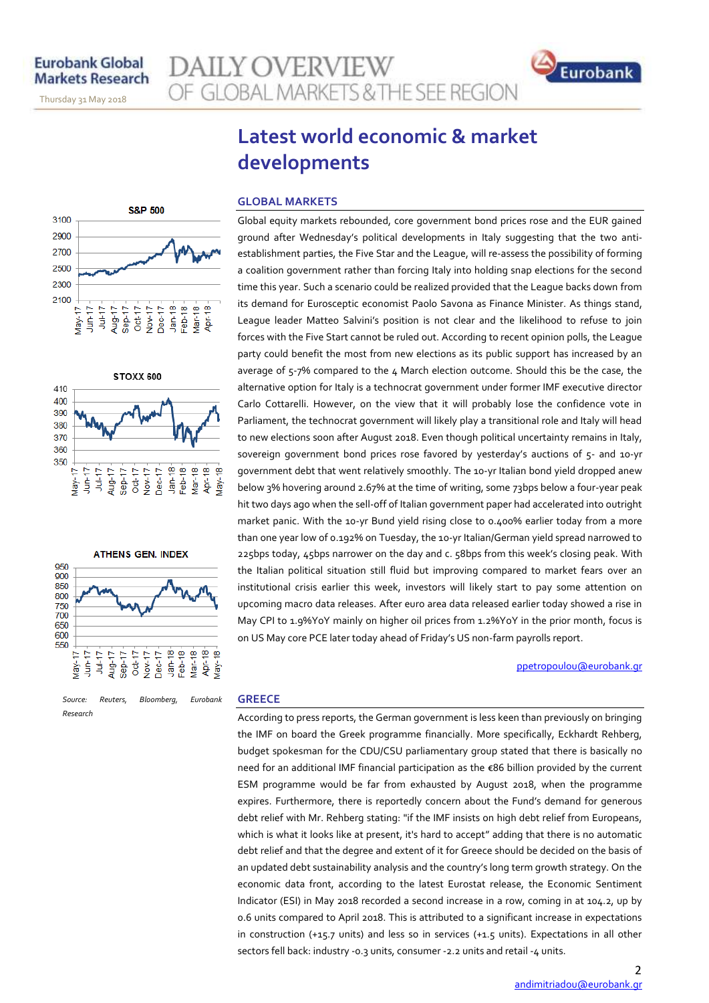November 14, 2013

Thursday 31 May 2018

### **DAILY OVERVIEW** OF GLOBAL MARKETS & THE SEE REGION



### **Latest world economic & market developments**

### **GLOBAL MARKETS**

Global equity markets rebounded, core government bond prices rose and the EUR gained ground after Wednesday's political developments in Italy suggesting that the two antiestablishment parties, the Five Star and the League, will re-assess the possibility of forming a coalition government rather than forcing Italy into holding snap elections for the second time this year. Such a scenario could be realized provided that the League backs down from its demand for Eurosceptic economist Paolo Savona as Finance Minister. As things stand, ⊚ **Lig** League leader Matteo Salvini's position is not clear and the likelihood to refuse to join forces with the Five Start cannot be ruled out. According to recent opinion polls, the League party could benefit the most from new elections as its public support has increased by an average of 5-7% compared to the 4 March election outcome. Should this be the case, the alternative option for Italy is a technocrat government under former IMF executive director Carlo Cottarelli. However, on the view that it will probably lose the confidence vote in Parliament, the technocrat government will likely play a transitional role and Italy will head to new elections soon after August 2018. Even though political uncertainty remains in Italy, sovereign government bond prices rose favored by yesterday's auctions of 5- and 10-yr Apr-18- $\frac{1}{2}$ government debt that went relatively smoothly. The 10-yr Italian bond yield dropped anew below 3% hovering around 2.67% at the time of writing, some 73bps below a four-year peak hit two days ago when the sell-off of Italian government paper had accelerated into outright market panic. With the 10-yr Bund yield rising close to 0.400% earlier today from a more than one year low of 0.192% on Tuesday, the 10-yr Italian/German yield spread narrowed to 225bps today, 45bps narrower on the day and c. 58bps from this week's closing peak. With the Italian political situation still fluid but improving compared to market fears over an institutional crisis earlier this week, investors will likely start to pay some attention on upcoming macro data releases. After euro area data released earlier today showed a rise in

ppetropoulou@eurobank.gr

### **GREECE**

According to press reports, the German government is less keen than previously on bringing the IMF on board the Greek programme financially. More specifically, Eckhardt Rehberg, budget spokesman for the CDU/CSU parliamentary group stated that there is basically no need for an additional IMF financial participation as the €86 billion provided by the current ESM programme would be far from exhausted by August 2018, when the programme expires. Furthermore, there is reportedly concern about the Fund's demand for generous debt relief with Mr. Rehberg stating: "if the IMF insists on high debt relief from Europeans, which is what it looks like at present, it's hard to accept" adding that there is no automatic debt relief and that the degree and extent of it for Greece should be decided on the basis of an updated debt sustainability analysis and the country's long term growth strategy. On the economic data front, according to the latest Eurostat release, the Economic Sentiment Indicator (ESI) in May 2018 recorded a second increase in a row, coming in at 104.2, up by 0.6 units compared to April 2018. This is attributed to a significant increase in expectations in construction (+15.7 units) and less so in services (+1.5 units). Expectations in all other sectors fell back: industry -0.3 units, consumer -2.2 units and retail -4 units.

May CPI to 1.9%YoY mainly on higher oil prices from 1.2%YoY in the prior month, focus is

on US May core PCE later today ahead of Friday's US non-farm payrolls report.







*Source: Reuters, Bloomberg, Eurobank Research*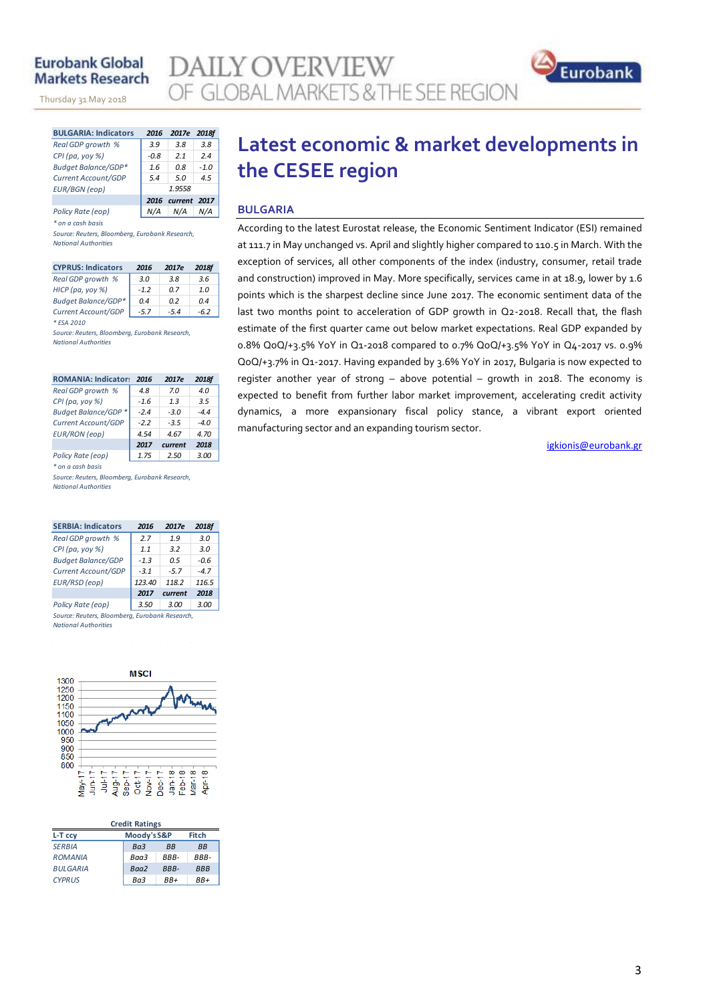### **Eurobank Global Markets Research**

November 14, 2013

Thursday 31 May 2018

**AILY OVERVIEW** OF GLOBAL MARKETS & THE SEE REGION



| <b>BULGARIA: Indicators</b> | 2016                 | 2017e | 2018f  |  |  |  |
|-----------------------------|----------------------|-------|--------|--|--|--|
| Real GDP growth %           | 3.9                  | 3.8   | 3.8    |  |  |  |
| $CPI$ (pa, yoy %)           | $-0.8$               | 21    | 2.4    |  |  |  |
| <b>Budget Balance/GDP*</b>  | 1.6                  | n 8   | $-1.0$ |  |  |  |
| Current Account/GDP         | 5.4                  | 5.0   | 4.5    |  |  |  |
| <b>EUR/BGN</b> (eop)        | 1.9558               |       |        |  |  |  |
|                             | 2016 current<br>2017 |       |        |  |  |  |
| Policy Rate (eop)           |                      |       |        |  |  |  |

*\* on a cash basis*

*Source: Reuters, Bloomberg, Eurobank Research, National Authorities*

| <b>CYPRUS: Indicators</b>  | 2016   | 2017e  | 2018f |
|----------------------------|--------|--------|-------|
| Real GDP growth %          | 3.0    | 3.8    | 3.6   |
| HICP (pa, yoy %)           | $-1.2$ | 0 Z    | 10    |
| <b>Budget Balance/GDP*</b> | 0.4    | n 2    | 04    |
| Current Account/GDP        | $-5.7$ | $-5.4$ | -62   |
| * ESA 2010                 |        |        |       |

*Source: Reuters, Bloomberg, Eurobank Research, National Authorities*

| <b>ROMANIA: Indicators</b> | 2016   | 2017e   | 2018f |
|----------------------------|--------|---------|-------|
| Real GDP growth %          | 4.8    | 7.0     | 4.0   |
| CPI (pa, yoy $%$ )         | $-1.6$ | 1.3     | 3.5   |
| Budget Balance/GDP *       | $-24$  | $-3.0$  | $-44$ |
| Current Account/GDP        | $-2.2$ | $-3.5$  | $-40$ |
| <b>EUR/RON</b> (eop)       | 4.54   | 4.67    | 4.70  |
|                            | 2017   | current | 2018  |
| Policy Rate (eop)          | 1.75   | 2.50    | 3.00  |

*\* on a cash basis*

*Source: Reuters, Bloomberg, Eurobank Research, National Authorities*

| <b>SERBIA: Indicators</b>                      | 2016   | 2017e   | <b>2018f</b> |  |  |  |  |  |  |
|------------------------------------------------|--------|---------|--------------|--|--|--|--|--|--|
| Real GDP growth %                              | 2.7    | 1.9     | 3.0          |  |  |  |  |  |  |
| $CPI$ (pa, yoy %)                              | 1.1    | 3.2     | 3.0          |  |  |  |  |  |  |
| <b>Budget Balance/GDP</b>                      | $-1.3$ | በ 5     | $-0.6$       |  |  |  |  |  |  |
| Current Account/GDP                            | $-3.1$ | $-5.7$  | $-4.7$       |  |  |  |  |  |  |
| EUR/RSD (eop)                                  | 123.40 | 118.2   | 116.5        |  |  |  |  |  |  |
|                                                | 2017   | current | 2018         |  |  |  |  |  |  |
| Policy Rate (eop)                              | 3.50   | 3.00    | 3.00         |  |  |  |  |  |  |
| Source: Reuters, Bloomberg, Eurobank Research, |        |         |              |  |  |  |  |  |  |

*National Authorities*



| <b>Credit Ratings</b> |                 |              |            |  |  |  |  |  |
|-----------------------|-----------------|--------------|------------|--|--|--|--|--|
| L-T ccy               | Moody's S&P     | <b>Fitch</b> |            |  |  |  |  |  |
| <b>SERBIA</b>         | Ba <sub>3</sub> | <b>BB</b>    | <b>BB</b>  |  |  |  |  |  |
| <b>ROMANIA</b>        | Baa3            | RRR-         | RRR-       |  |  |  |  |  |
| <b>BULGARIA</b>       | Baa2            | BBB-         | <b>BBB</b> |  |  |  |  |  |
| <b>CYPRUS</b>         | Ba3             | RR+          | RR+        |  |  |  |  |  |

### **Latest economic & market developments in the CESEE region**

### **BULGARIA**

According to the latest Eurostat release, the Economic Sentiment Indicator (ESI) remained at 111.7 in May unchanged vs. April and slightly higher compared to 110.5 in March. With the exception of services, all other components of the index (industry, consumer, retail trade and construction) improved in May. More specifically, services came in at 18.9, lower by 1.6 points which is the sharpest decline since June 2017. The economic sentiment data of the last two months point to acceleration of GDP growth in Q2-2018. Recall that, the flash estimate of the first quarter came out below market expectations. Real GDP expanded by 0.8% QoQ/+3.5% YoY in Q1-2018 compared to 0.7% QoQ/+3.5% YoY in Q4-2017 vs. 0.9% QoQ/+3.7% in Q1-2017. Having expanded by 3.6% YoY in 2017, Bulgaria is now expected to register another year of strong – above potential – growth in 2018. The economy is expected to benefit from further labor market improvement, accelerating credit activity dynamics, a more expansionary fiscal policy stance, a vibrant export oriented manufacturing sector and an expanding tourism sector.

igkionis@eurobank.gr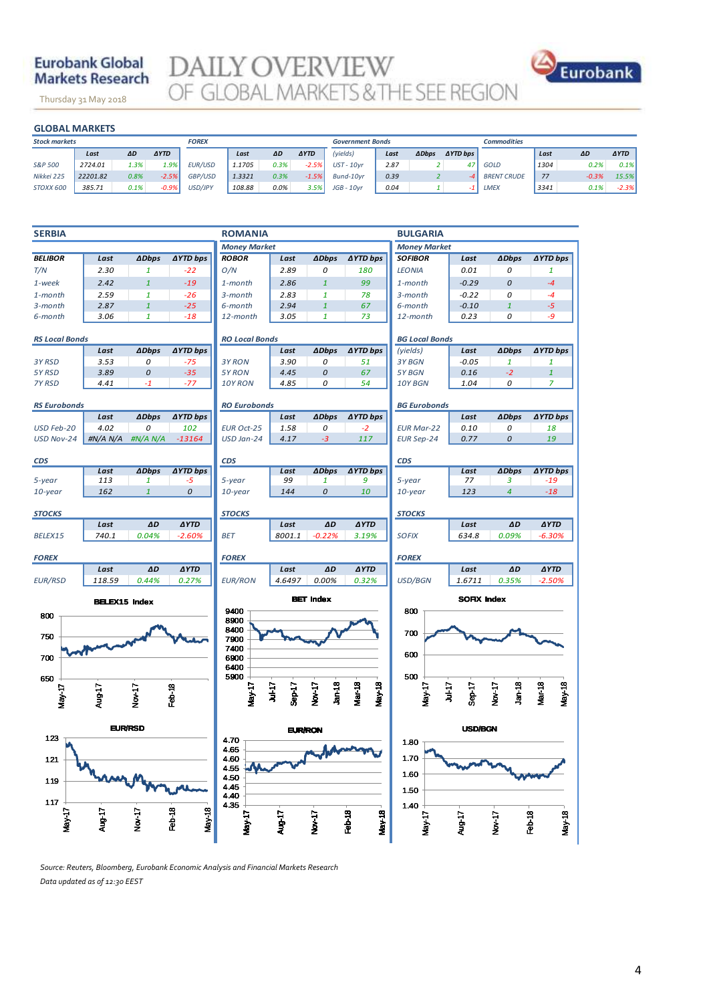### **Eurobank Global Markets Research**

Thursday 31 May 2018

**DAILY OVERVIEW** OF GLOBAL MARKETS & THE SEE REGION



|                      | <b>GLOBAL MARKETS</b> |      |              |         |        |      |                         |              |      |              |                    |                    |      |         |             |
|----------------------|-----------------------|------|--------------|---------|--------|------|-------------------------|--------------|------|--------------|--------------------|--------------------|------|---------|-------------|
| <b>Stock markets</b> |                       |      | <b>FOREX</b> |         |        |      | <b>Government Bonds</b> |              |      |              | <b>Commodities</b> |                    |      |         |             |
|                      | Last                  | ΔD   | <b>AYTD</b>  |         | Last   | ΔD   | <b>AYTD</b>             | (yields)     | Last | <b>ADbps</b> | <b>AYTD bps</b>    |                    | Last | ΔD      | <b>AYTD</b> |
| S&P 500              | 2724.01               | 1.3% | 1.9%         | EUR/USD | 1.1705 | 0.3% | $-2.5%$                 | $UST - 10yr$ | 2.87 |              | 47                 | GOLD               | 1304 | 0.2%    | 0.1%        |
| Nikkei 225           | 22201.82              | 0.8% | $-2.5%$      | GBP/USD | 1.3321 | 0.3% | $-1.5%$                 | Bund-10vr    | 0.39 |              |                    | <b>BRENT CRUDE</b> | 77   | $-0.3%$ | 15.5%       |
| STOXX 600            | 385.71                | 0.1% | $-0.9%$      | USD/JPY | 108.88 | 0.0% | 3.5%                    | $JGB - 10yr$ | 0.04 |              | -1                 | <b>LMEX</b>        | 3341 | 0.1%    | $-2.3%$     |
|                      |                       |      |              |         |        |      |                         |              |      |              |                    |                    |      |         |             |



*Source: Reuters, Bloomberg, Eurobank Economic Analysis and Financial Markets Research Data updated as of 12:30 EEST*